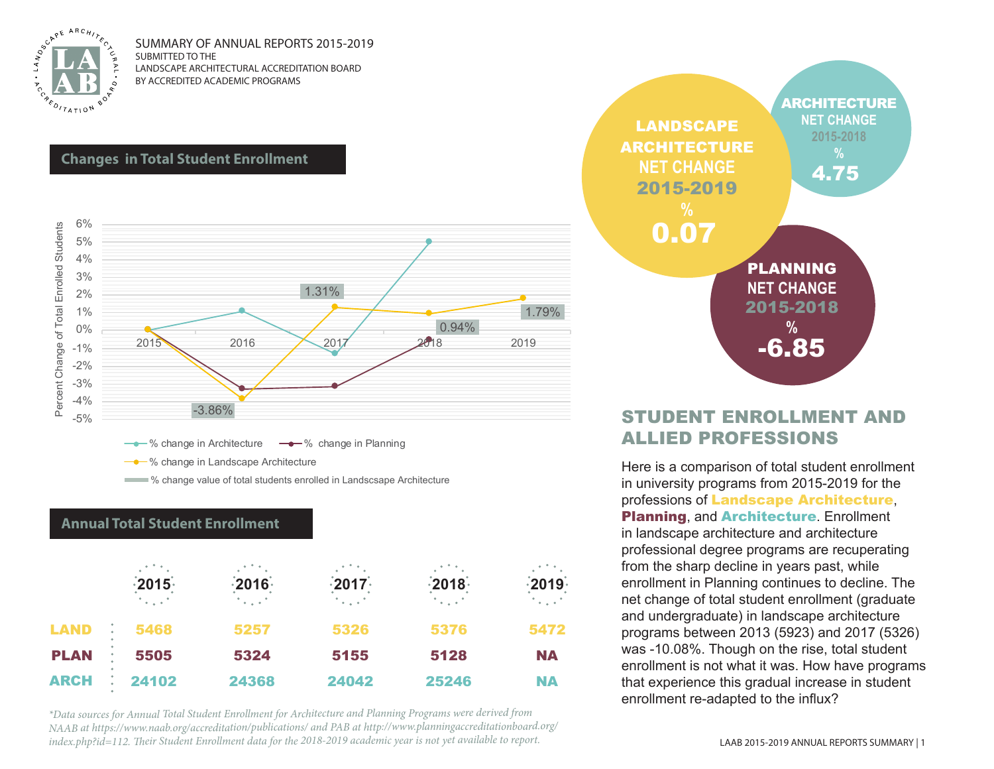



**W** change value of total students enrolled in Landscsape Architecture

### **Annual Total Student Enrollment**

|             | $\frac{1}{2}$ 2015 $\frac{1}{2}$<br>$\mathcal{L}_{\text{max}}$ | $-2016$<br>$\mathcal{L}_{\text{max}}$ | $\frac{1}{2017}$<br>$\mathcal{L}_{\text{max}}$ | $\frac{1}{2018}$<br>ta 24 t | $\cdot$ 2019 $\cdot$<br>$\sim$ $\sim$ $\sim$ $\sim$ |
|-------------|----------------------------------------------------------------|---------------------------------------|------------------------------------------------|-----------------------------|-----------------------------------------------------|
| <b>LAND</b> | 5468                                                           | 5257                                  | 5326                                           | 5376                        | 5472                                                |
| <b>PLAN</b> | 5505                                                           | 5324                                  | 5155                                           | 5128                        | <b>NA</b>                                           |
| <b>ARCH</b> | 24102                                                          | 24368                                 | 24042                                          | 25246                       | <b>NA</b>                                           |

*\*Data sources for Annual Total Student Enrollment for Architecture and Planning Programs were derived from NAAB at https://www.naab.org/accreditation/publications/ and PAB at http://www.planningaccreditationboard.org/ index.php?id=112. Their Student Enrollment data for the 2018-2019 academic year is not yet available to report.*



## STUDENT ENROLLMENT AND ALLIED PROFESSIONS

Here is a comparison of total student enrollment in university programs from 2015-2019 for the professions of Landscape Architecture, **Planning. and Architecture. Enrollment** in landscape architecture and architecture professional degree programs are recuperating from the sharp decline in years past, while enrollment in Planning continues to decline. The net change of total student enrollment (graduate and undergraduate) in landscape architecture programs between 2013 (5923) and 2017 (5326) was -10.08%. Though on the rise, total student enrollment is not what it was. How have programs that experience this gradual increase in student enrollment re-adapted to the influx?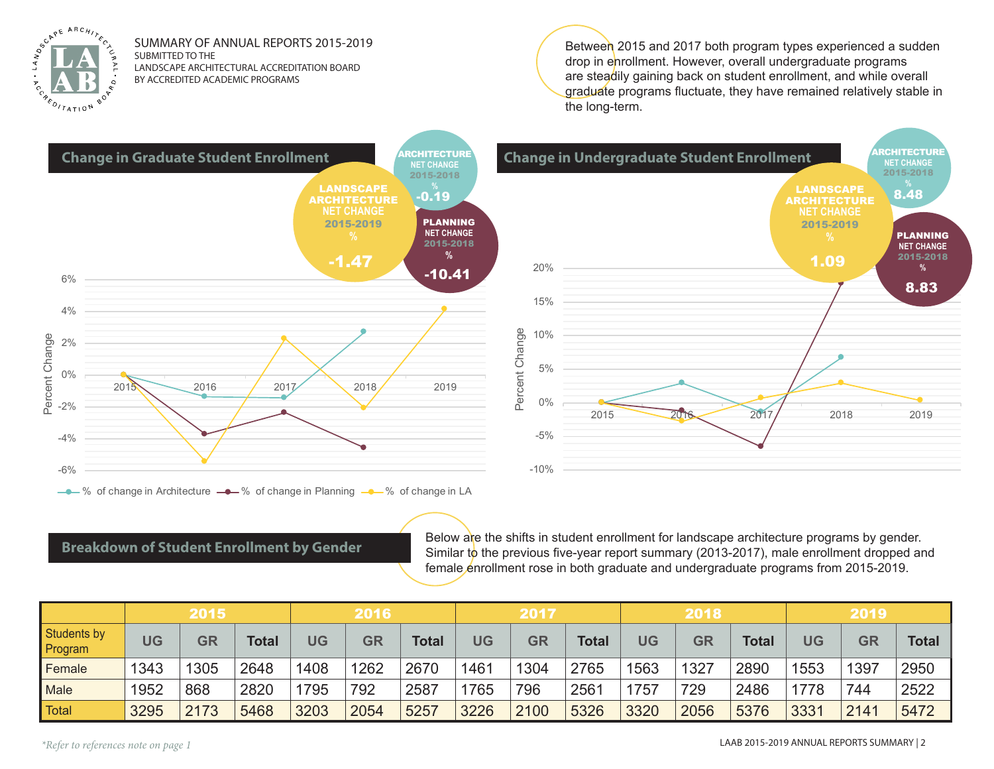

Between 2015 and 2017 both program types experienced a sudden drop in enrollment. However, overall undergraduate programs are steadily gaining back on student enrollment, and while overall graduate programs fluctuate, they have remained relatively stable in the long-term.



### **Breakdown of Student Enrollment by Gender**

Below are the shifts in student enrollment for landscape architecture programs by gender. Similar to the previous five-year report summary (2013-2017), male enrollment dropped and female enrollment rose in both graduate and undergraduate programs from 2015-2019.

|                        | 2015 |           |              | 2016      |           |              | 2017 |           |              | 2018 |      |              | 2019 |           |              |
|------------------------|------|-----------|--------------|-----------|-----------|--------------|------|-----------|--------------|------|------|--------------|------|-----------|--------------|
| Students by<br>Program | UG   | <b>GR</b> | <b>Total</b> | <b>UG</b> | <b>GR</b> | <b>Total</b> | UG   | <b>GR</b> | <b>Total</b> | UG   | GR   | <b>Total</b> | UG   | <b>GR</b> | <b>Total</b> |
| Female                 | 1343 | 1305      | 2648         | 1408      | 1262      | 2670         | 1461 | 1304      | 2765         | 1563 | 1327 | 2890         | 1553 | 1397      | 2950         |
| <b>Male</b>            | 1952 | 868       | 2820         | 1795      | 792       | 2587         | 765  | 796       | 2561         | 1757 | 729  | 2486         | 1778 | 744       | 2522         |
| <b>Total</b>           | 3295 | 2173      | 5468         | 3203      | 2054      | 5257         | 3226 | 2100      | 5326         | 3320 | 2056 | 5376         | 3331 | 2141      | 5472         |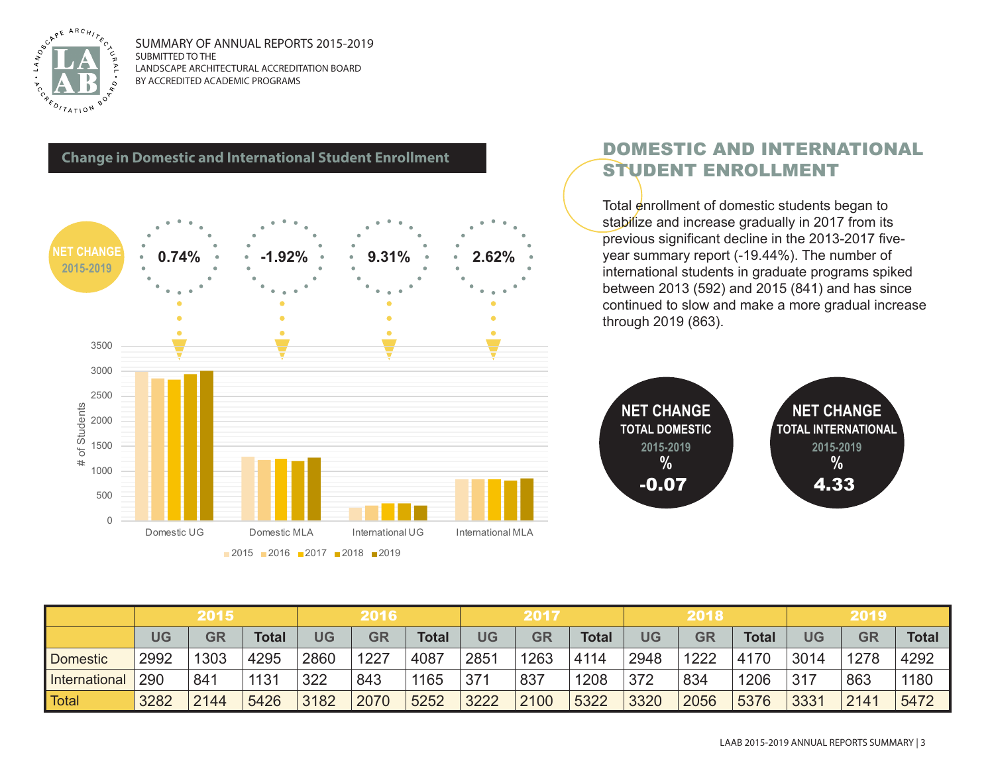



# DOMESTIC AND INTERNATIONAL

Total enrollment of domestic students began to stabilize and increase gradually in 2017 from its previous significant decline in the 2013-2017 fiveyear summary report (-19.44%). The number of international students in graduate programs spiked between 2013 (592) and 2015 (841) and has since continued to slow and make a more gradual increase through 2019 (863).



|               | 2015 |      |              | 2016      |           |       | 2017 |           |              | 2018 |           |              | 2019 |           |              |
|---------------|------|------|--------------|-----------|-----------|-------|------|-----------|--------------|------|-----------|--------------|------|-----------|--------------|
|               | UG   | GR   | <b>Total</b> | <b>JG</b> | <b>GR</b> | Total | UG   | <b>GR</b> | <b>Total</b> | UG   | <b>GR</b> | <b>Total</b> | UG   | <b>GR</b> | <b>Total</b> |
| Domestic      | 2992 | 1303 | 4295         | 2860      | 1227      | 4087  | 2851 | 1263      | 4114         | 2948 | 1222      | 4170         | 3014 | 1278      | 4292         |
| International | 290  | 841  | 1131         | 322       | 843       | 1165  | 371  | 837       | 1208         | 372  | 834       | 1206         | 317  | 863       | 1180         |
| Total         | 3282 | 2144 | 5426         | 3182      | 2070      | 5252  | 3222 | 2100      | 5322         | 3320 | 2056      | 5376         | 3331 | 2141      | 5472         |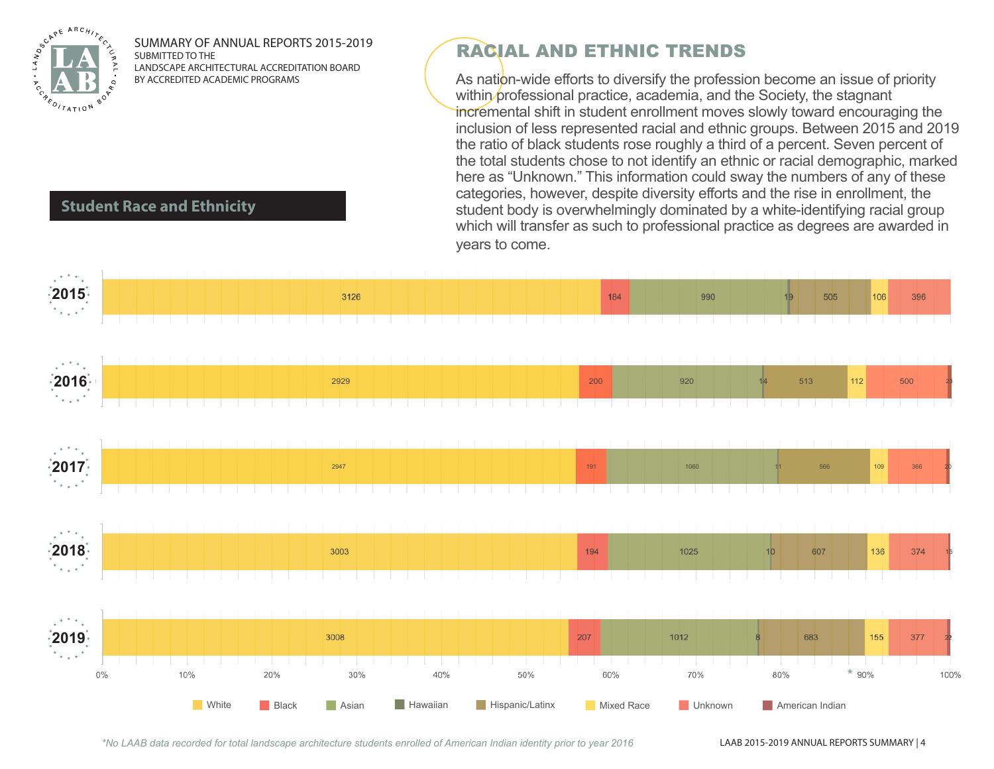

# RACIAL AND ETHNIC TRENDS

As nation-wide efforts to diversify the profession become an issue of priority within professional practice, academia, and the Society, the stagnant incremental shift in student enrollment moves slowly toward encouraging the inclusion of less represented racial and ethnic groups. Between 2015 and 2019 the ratio of black students rose roughly a third of a percent. Seven percent of the total students chose to not identify an ethnic or racial demographic, marked here as "Unknown." This information could sway the numbers of any of these categories, however, despite diversity efforts and the rise in enrollment, the student body is overwhelmingly dominated by a white-identifying racial group which will transfer as such to professional practice as degrees are awarded in years to come.

# **Student Race and Ethnicity**



*\*No LAAB data recorded for total landscape architecture students enrolled of American Indian identity prior to year 2016* 

LAAB 2015-2019 ANNUAL REPORTS SUMMARY | 4